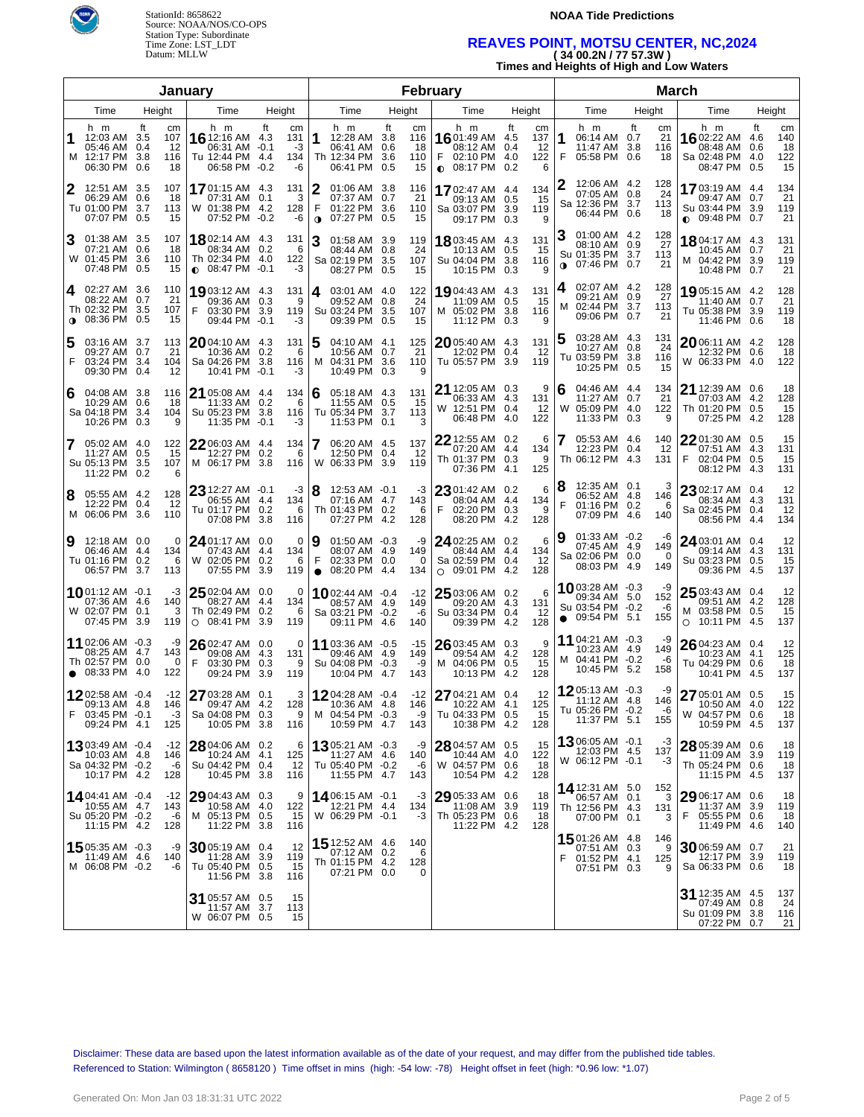

StationId: 8658622 Source: NOAA/NOS/CO-OPS Station Type: Subordinate Time Zone: LST\_LDT Datum: MLLW

#### **NOAA Tide Predictions**

## **REAVES POINT, MOTSU CENTER, NC,2024 ( 34 00.2N / 77 57.3W )**

**Times and Heights of High and Low Waters**

|                |                                                                               |                                                  | January                                                                      |                                                                |                                                                                     |                                                  | February                                                               |                                                                  | <b>March</b>                                                                      |                                    |                                                                        |                                                                 |  |  |  |
|----------------|-------------------------------------------------------------------------------|--------------------------------------------------|------------------------------------------------------------------------------|----------------------------------------------------------------|-------------------------------------------------------------------------------------|--------------------------------------------------|------------------------------------------------------------------------|------------------------------------------------------------------|-----------------------------------------------------------------------------------|------------------------------------|------------------------------------------------------------------------|-----------------------------------------------------------------|--|--|--|
|                | Time                                                                          | Height                                           | Time<br>Height                                                               |                                                                | Time                                                                                | Height                                           | Time                                                                   | Height                                                           | Time                                                                              | Height                             | Time                                                                   | Height                                                          |  |  |  |
| 1              | h m<br>12:03 AM 3.5<br>05:46 AM<br>M 12:17 PM 3.8<br>06:30 PM                 | ft<br>cm<br>107<br>0.4<br>12<br>116<br>0.6<br>18 | h m<br>16 12:16 AM 4.3<br>06:31 AM<br>Tu 12:44 PM<br>06:58 PM                | ft<br>cm<br>131<br>$-0.1$<br>-3<br>134<br>-4.4<br>$-0.2$<br>-6 | h m<br>12:28 AM 3.8<br>1<br>06:41 AM 0.6<br>Th 12:34 PM<br>06:41 PM                 | ft<br>cm<br>116<br>18<br>3.6<br>110<br>0.5<br>15 | h m<br>1601:49 AM<br>08:12 AM<br>F<br>02:10 PM<br>$0.08:17 \text{ PM}$ | ft<br>cm<br>- 4.5<br>137<br>0.4<br>-12<br>122<br>4.0<br>0.2<br>6 | h m<br>06:14 AM 0.7<br>11:47 AM<br>F<br>05:58 PM 0.6                              | ft<br>cm<br>21<br>3.8<br>116<br>18 | h m<br>1602:22 AM<br>08:48 AM<br>Sa 02:48 PM<br>08:47 PM               | ft<br>cm<br>140<br>4.6<br>0.6<br>18<br>122<br>-4.0<br>15<br>0.5 |  |  |  |
| 12             | 12:51 AM 3.5<br>06:29 AM 0.6<br>Tu 01:00 PM 3.7<br>07:07 PM 0.5               | 107<br>18<br>113<br>15                           | <b>17</b> 01:15 AM 4.3<br>07:31 AM 0.1<br>W 01:38 PM 4.2<br>07:52 PM -0.2    | 131<br>3<br>128<br>-6                                          | 2<br>01:06 AM 3.8<br>07:37 AM 0.7<br>F<br>01:22 PM 3.6<br>07:27 PM 0.5<br>$\bullet$ | 116<br>21<br>110<br>15                           | 1702:47 AM<br>09:13 AM<br>Sa 03:07 PM<br>09:17 PM                      | 134<br>-4.4<br>15<br>0.5<br>3.9<br>119<br>0.3<br>9               | 12:06 AM 4.2<br>07:05 AM 0.8<br>Sa 12:36 PM 3.7<br>06:44 PM 0.6                   | 128<br>24<br>113<br>18             | 17 03:19 AM 4.4<br>09:47 AM<br>Su 03:44 PM 3.9<br>$0.09:48 \text{ PM}$ | 134<br>0.7<br>21<br>119<br>21<br>0.7                            |  |  |  |
| ΙЗ.            | 01:38 AM 3.5<br>07:21 AM 0.6<br>W 01:45 PM 3.6<br>07:48 PM 0.5                | 107<br>18<br>110<br>15                           | <b>18</b> 02:14 AM 4.3<br>08:34 AM<br>Th 02:34 PM 4.0<br>$0.08:47$ PM $-0.1$ | 131<br>0.2<br>- 6<br>122<br>-3                                 | 3<br>01:58 AM 3.9<br>08:44 AM 0.8<br>Sa 02:19 PM 3.5<br>08:27 PM 0.5                | 119<br>24<br>107<br>15                           | 1803:45 AM<br>10:13 AM<br>Su 04:04 PM<br>10:15 PM                      | 131<br>-4.3<br>0.5<br>-15<br>3.8<br>116<br>0.3<br>9              | 01:00 AM 4.2<br>З<br>08:10 AM 0.9<br>Su 01:35 PM 3.7<br>07:46 PM 0.7<br>$\bullet$ | 128<br>27<br>113<br>21             | 1804:17 AM 4.3<br>10:45 AM<br>M 04:42 PM<br>10:48 PM                   | 131<br>21<br>0.7<br>3.9<br>119<br>0.7<br>21                     |  |  |  |
| 4              | 02:27 AM 3.6<br>08:22 AM 0.7<br>Th 02:32 PM 3.5<br><b>0</b> 08:36 PM 0.5      | 110<br>21<br>107<br>15                           | 1903:12 AM 4.3<br>09:36 AM 0.3<br>03:30 PM 3.9<br>F<br>09:44 PM              | 131<br>9<br>119<br>$-0.1$<br>-3                                | 4 03:01 AM 4.0<br>09:52 AM 0.8<br>Su 03:24 PM 3.5<br>09:39 PM 0.5                   | 122<br>24<br>107<br>15                           | 1904:43 AM<br>11:09 AM<br>M 05:02 PM<br>11:12 PM                       | 131<br>-4.3<br>0.5<br>-15<br>3.8<br>116<br>0.3<br>q              | 02:07 AM 4.2<br>4<br>09:21 AM 0.9<br>02:44 PM 3.7<br>M<br>09:06 PM 0.7            | 128<br>27<br>113<br>21             | 19 05:15 AM 4.2<br>11:40 AM<br>Tu 05:38 PM<br>11:46 PM                 | 128<br>21<br>0.7<br>119<br>3.9<br>0.6<br>18                     |  |  |  |
| 5<br>F         | 03:16 AM 3.7<br>09:27 AM 0.7<br>03:24 PM 3.4<br>09:30 PM                      | 113<br>21<br>104<br>0.4<br>12                    | 2004:10 AM 4.3<br>10:36 AM<br>Sa 04:26 PM 3.8<br>10:41 PM                    | 131<br>0.2<br>6<br>116<br>$-0.1$<br>-3                         | 5<br>04:10 AM 4.1<br>10:56 AM 0.7<br>04:31 PM 3.6<br>M<br>10:49 PM 0.3              | 125<br>21<br>110<br>9                            | 2005:40 AM<br>12:02 PM<br>Tu 05:57 PM                                  | -4.3<br>131<br>0.4<br>-12<br>3.9<br>119                          | 03:28 AM 4.3<br>10:27 AM 0.8<br>Tu 03:59 PM 3.8<br>10:25 PM 0.5                   | 131<br>24<br>116<br>15             | $2006:11$ AM 4.2<br>12:32 PM 0.6<br>W 06:33 PM 4.0                     | 128<br>18<br>122                                                |  |  |  |
| 6              | 04:08 AM 3.8<br>10:29 AM 0.6<br>Sa 04:18 PM 3.4<br>10:26 PM                   | 116<br>18<br>104<br>0.3<br>9                     | 21 05:08 AM 4.4<br>11:33 AM 0.2<br>Su 05:23 PM 3.8<br>11:35 PM               | 134<br>6<br>116<br>-3<br>$-0.1$                                | 6<br>05:18 AM 4.3<br>11:55 AM 0.5<br>Tu 05:34 PM 3.7<br>11:53 PM 0.1                | 131<br>15<br>113<br>3                            | 21 12:05 AM 0.3<br>06:33 AM<br>W 12:51 PM<br>06:48 PM                  | 9<br>4.3<br>131<br>0.4<br>-12<br>4.0<br>122                      | 04:46 AM 4.4<br>6<br>11:27 AM 0.7<br>05:09 PM 4.0<br>W<br>11:33 PM 0.3            | 134<br>21<br>122<br>9              | 21 12:39 AM 0.6<br>07:03 AM 4.2<br>Th 01:20 PM<br>07:25 PM             | 18<br>128<br>15<br>0.5<br>-4.2<br>128                           |  |  |  |
| $\overline{7}$ | 05:02 AM 4.0<br>11:27 AM 0.5<br>Su 05:13 PM 3.5<br>11:22 PM 0.2               | 122<br>15<br>107<br>6                            | 22 06:03 AM 4.4<br>12:27 PM 0.2<br>M 06:17 PM 3.8                            | 134<br>6<br>116                                                | 7<br>06:20 AM 4.5<br>12:50 PM 0.4<br>W 06:33 PM 3.9                                 | 137<br>12<br>119                                 | 22 12:55 AM<br>07:20 AM<br>Th 01:37 PM<br>07:36 PM                     | 6<br>0.2<br>4.4<br>134<br>0.3<br>9<br>125<br>4.1                 | 05:53 AM 4.6<br>17<br>12:23 PM 0.4<br>Th 06:12 PM 4.3                             | 140<br>12<br>131                   | 22 01:30 AM 0.5<br>07:51 AM<br>02:04 PM<br>F<br>08:12 PM               | 15<br>4.3<br>131<br>0.5<br>15<br>-4.3<br>131                    |  |  |  |
| 8              | 05:55 AM 4.2<br>12:22 PM 0.4<br>M 06:06 PM 3.6                                | 128<br>12<br>110                                 | 23 12:27 AM -0.1<br>06:55 AM 4.4<br>Tu 01:17 PM 0.2<br>07:08 PM              | -3<br>134<br>6<br>-3.8<br>116                                  | 18<br>12:53 AM -0.1<br>07:16 AM 4.7<br>Th 01:43 PM 0.2<br>07:27 PM 4.2              | -3<br>143<br>6<br>128                            | 23 01:42 AM 0.2<br>08:04 AM<br>F<br>02:20 PM<br>08:20 PM               | 6<br>4.4<br>134<br>0.3<br>9<br>128<br>-4.2                       | 12:35 AM 0.1<br>18<br>06:52 AM 4.8<br>F<br>01:16 PM 0.2<br>07:09 PM               | 146<br>6<br>-4.6<br>140            | 23 02:17 AM 0.4<br>08:34 AM 4.3<br>Sa 02:45 PM 0.4<br>08:56 PM         | 12<br>131<br>12<br>134<br>-4.4                                  |  |  |  |
| Ι9             | 12:18 AM 0.0<br>06:46 AM 4.4<br>Tu 01:16 PM 0.2<br>06:57 PM 3.7               | $\Omega$<br>134<br>6<br>113                      | 24 01:17 AM 0.0<br>07:43 AM<br>W 02:05 PM<br>07:55 PM                        | 0<br>4.4<br>134<br>0.2<br>6<br>3.9<br>119                      | Ι9<br>01:50 AM -0.3<br>08:07 AM 4.9<br>F<br>02:33 PM 0.0<br>$\bullet$ 08:20 PM 4.4  | -9<br>149<br>0<br>134                            | 24 02:25 AM 0.2<br>08:44 AM<br>Sa 02:59 PM<br>$O$ 09:01 PM             | 6<br>4.4<br>134<br>0.4<br>12<br>-4.2<br>128                      | 01:33 AM -0.2<br>19<br>07:45 AM 4.9<br>Sa 02:06 PM 0.0<br>08:03 PM                | -6<br>149<br>0<br>-4.9<br>149      | $2403:01$ AM 0.4<br>09:14 AM<br>Su 03:23 PM<br>09:36 PM                | 12<br>4.3<br>131<br>0.5<br>15<br>-4.5<br>137                    |  |  |  |
|                | <b>10</b> 01:12 AM -0.1<br>07:36 AM 4.6<br>W 02:07 PM 0.1<br>07:45 PM 3.9     | -3<br>140<br>3<br>119                            | 25 02:04 AM 0.0<br>08:27 AM<br>Th 02:49 PM<br>$O$ 08:41 PM                   | 0<br>4.4<br>134<br>0.2<br>- 6<br>3.9<br>119                    | <b>10</b> 02:44 AM $-0.4$<br>08:57 AM 4.9<br>Sa 03:21 PM -0.2<br>09:11 PM 4.6       | $-12$<br>149<br>-6<br>140                        | 25 03:06 AM<br>09:20 AM<br>Su 03:34 PM<br>09:39 PM                     | 0.2<br>6<br>4.3<br>131<br>0.4<br>12<br>128<br>-4.2               | 1003:28 AM -0.3<br>09:34 AM 5.0<br>Su 03:54 PM -0.2<br>09:54 PM 5.1<br>$\bullet$  | -9<br>152<br>-6<br>155             | $2503:43$ AM 0.4<br>09:51 AM<br>M 03:58 PM<br>10:11 PM 4.5<br>$\circ$  | 12<br>4.2<br>128<br>15<br>0.5<br>137                            |  |  |  |
|                | 11 02:06 AM -0.3<br>08:25 AM 4.7<br>Th 02:57 PM 0.0<br>$\bullet$ 08:33 PM 4.0 | -9<br>143<br>$\overline{0}$<br>122               | 26 02:47 AM 0.0<br>09:08 AM 4.3<br>F<br>03:30 PM<br>09:24 PM 3.9             | 0<br>131<br>0.3<br>- 9<br>119                                  | 11 03:36 AM -0.5<br>09:46 AM 4.9<br>Su 04:08 PM -0.3<br>10:04 PM 4.7                | -15<br>149<br>-9<br>143                          | 26 03:45 AM<br>09:54 AM<br>M 04:06 PM<br>10:13 PM                      | 9<br>0.3<br>4.2<br>128<br>0.5<br>15<br>128<br>-4.2               | 11 04:21 AM -0.3<br>10:23 AM 4.9<br>M 04:41 PM -0.2<br>10:45 PM 5.2               | -9<br>149<br>-6<br>158             | 26 04:23 AM 0.4<br>10:23 AM 4.1<br>Tu 04:29 PM<br>10:41 PM 4.5         | 12<br>125<br>0.6<br>18<br>137                                   |  |  |  |
|                | 1202:58 AM -0.4<br>09:13 AM 4.8<br>F 03:45 PM -0.1<br>09:24 PM 4.1            | 146<br>-3<br>125                                 | $-12$ 27 03:28 AM 0.1<br>09:47 AM 4.2<br>Sa 04:08 PM 0.3<br>10:05 PM 3.8     | 128<br>9<br>116                                                | $3 12$ 04:28 AM -0.4<br>10:36 AM 4.8<br>M 04:54 PM -0.3<br>10:59 PM 4.7             | -12<br>146<br>-9<br>143                          | 27 04:21 AM 0.4<br>10:22 AM 4.1<br>Tu 04:33 PM 0.5<br>10:38 PM 4.2     | 125<br>15<br>128                                                 | 12 12 05:13 AM -0.3<br>11:12 AM 4.8<br>Tu 05:26 PM -0.2<br>11:37 PM 5.1           | -9<br>146<br>-6<br>155             | 27 05:01 AM 0.5<br>10:50 AM 4.0<br>W 04:57 PM 0.6<br>10:59 PM 4.5      | 15<br>122<br>18<br>137                                          |  |  |  |
|                | 13 03:49 AM -0.4<br>10:03 AM 4.8<br>Sa 04:32 PM -0.2<br>10:17 PM 4.2          | -12<br>146<br>-6<br>128                          | 28 04:06 AM<br>10:24 AM 4.1<br>Su 04:42 PM 0.4<br>10:45 PM 3.8               | 0.2<br>6<br>125<br>12<br>116                                   | 1305:21 AM -0.3<br>11:27 AM 4.6<br>Tu 05:40 PM -0.2<br>11:55 PM 4.7                 | -9<br>140<br>-6<br>143                           | $28$ 04:57 AM<br>10:44 AM<br>W 04:57 PM<br>10:54 PM 4.2                | 0.5<br>15<br>122<br>4.0<br>0.6<br>-18<br>128                     | 1306:05 AM -0.1<br>12:03 PM 4.5<br>W 06:12 PM -0.1                                | -3<br>137<br>-3                    | 28 05:39 AM 0.6<br>11:09 AM<br>Th 05:24 PM 0.6<br>11:15 PM 4.5         | 18<br>119<br>3.9<br>18<br>137                                   |  |  |  |
|                | 14 04:41 AM -0.4<br>10:55 AM 4.7<br>Su 05:20 PM -0.2<br>11:15 PM 4.2          | -12<br>143<br>-6<br>128                          | 29 04:43 AM 0.3<br>10:58 AM 4.0<br>M 05:13 PM 0.5<br>11:22 PM 3.8            | 9<br>122<br>15<br>116                                          | 1406:15 AM -0.1<br>12:21 PM 4.4<br>W 06:29 PM -0.1                                  | -3<br>134<br>-3                                  | 29 05:33 AM<br>11:08 AM<br>Th 05:23 PM 0.6<br>11:22 PM 4.2             | 0.6<br>18<br>3.9<br>119<br>18<br>128                             | 14 12:31 AM 5.0<br>06:57 AM 0.1<br>Th 12:56 PM 4.3<br>07:00 PM 0.1                | 152<br>3<br>131<br>3               | 29 06:17 AM 0.6<br>11:37 AM<br>F<br>05:55 PM 0.6<br>11:49 PM 4.6       | 18<br>-3.9<br>119<br>18<br>140                                  |  |  |  |
|                | 1505:35 AM -0.3<br>$11:49$ AM $4.6$<br>M 06:08 PM -0.2                        | -9<br>140<br>-6                                  | $30$ 05:19 AM 0.4<br>11:28 AM 3.9<br>Tu 05:40 PM 0.5<br>11:56 PM 3.8         | 12<br>119<br>-15<br>116                                        | 15 12:52 AM 4.6<br>07:12 AM 0.2<br>Th 01:15 PM 4.2<br>07:21 PM 0.0                  | 140<br>6<br>128<br>0                             |                                                                        |                                                                  | <b>15</b> 01:26 AM 4.8<br>07:51 AM 0.3<br>F<br>01:52 PM 4.1<br>07:51 PM 0.3       | 146<br>9<br>125<br>9               | 30 06:59 AM 0.7<br>12:17 PM<br>Sa 06:33 PM 0.6                         | 21<br>119<br>3.9<br>18                                          |  |  |  |
|                |                                                                               |                                                  | 31 05:57 AM 0.5<br>11:57 AM 3.7<br>W 06:07 PM 0.5                            | 15<br>113<br>15                                                |                                                                                     |                                                  |                                                                        |                                                                  |                                                                                   |                                    | 31 12:35 AM 4.5<br>07:49 AM<br>Su 01:09 PM<br>07:22 PM 0.7             | 137<br>24<br>0.8<br>3.8<br>116<br>21                            |  |  |  |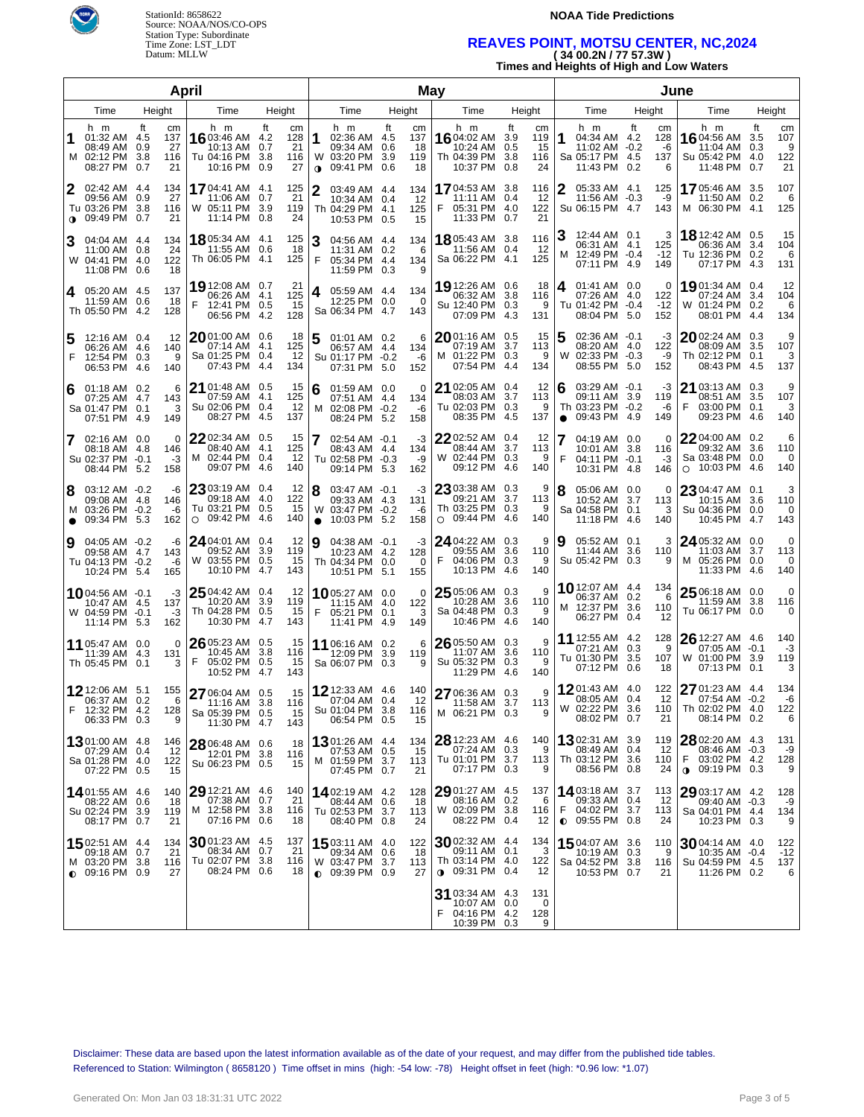



### **NOAA Tide Predictions**

# **REAVES POINT, MOTSU CENTER, NC,2024 ( 34 00.2N / 77 57.3W )**

| $(34 \, \text{U} \cdot \text{U} \cdot \text{N} / I \, \text{I} \cdot \text{S} / \, \text{S} \cdot \text{V} \cdot \text{V})$ |  |
|-----------------------------------------------------------------------------------------------------------------------------|--|
| Times and Heights of High and Low Waters                                                                                    |  |

|                |                                                                              |                                    | April                                                                    |                                                  |                                                                                            |                                     | <b>May</b>                                                                                                                         | June                                                                                                          |                                                                                |                                                 |  |  |  |
|----------------|------------------------------------------------------------------------------|------------------------------------|--------------------------------------------------------------------------|--------------------------------------------------|--------------------------------------------------------------------------------------------|-------------------------------------|------------------------------------------------------------------------------------------------------------------------------------|---------------------------------------------------------------------------------------------------------------|--------------------------------------------------------------------------------|-------------------------------------------------|--|--|--|
|                | Time                                                                         | Height                             | Time                                                                     | Height                                           | Time                                                                                       | Height                              | Height<br>Time                                                                                                                     | Time<br>Height                                                                                                | Time                                                                           | Height                                          |  |  |  |
| 1              | h m<br>01:32 AM 4.5<br>08:49 AM 0.9<br>M 02:12 PM 3.8<br>08:27 PM 0.7        | ft<br>сm<br>137<br>27<br>116<br>21 | h m<br><b>16</b> 03:46 AM 4.2<br>10:13 AM<br>Tu 04:16 PM<br>10:16 PM 0.9 | ft<br>cm<br>128<br>21<br>0.7<br>3.8<br>116<br>27 | h m<br>1<br>02:36 AM 4.5<br>09:34 AM 0.6<br>03:20 PM 3.9<br>W<br>09:41 PM 0.6<br>$\bullet$ | ft<br>cm<br>137<br>18<br>119<br>18  | h m<br>ft<br>cm<br><b>16</b> 04:02 AM<br>3.9<br>119<br>10:24 AM<br>15<br>0.5<br>Th 04:39 PM<br>3.8<br>116<br>10:37 PM<br>0.8<br>24 | h m<br>ft<br>cm<br>04:34 AM 4.2<br>128<br>11:02 AM -0.2<br>-6<br>Sa 05:17 PM 4.5<br>137<br>11:43 PM 0.2<br>6  | h m<br><b>16</b> 04:56 AM<br>11:04 AM<br>Su 05:42 PM 4.0<br>11:48 PM 0.7       | ft<br>cm<br>107<br>3.5<br>9<br>0.3<br>122<br>21 |  |  |  |
| 2              | 02:42 AM 4.4<br>09:56 AM 0.9<br>Tu 03:26 PM 3.8<br>$\bullet$ 09:49 PM 0.7    | 134<br>27<br>116<br>21             | <b>17</b> 04:41 AM 4.1<br>11:06 AM 0.7<br>W 05:11 PM 3.9<br>11:14 PM 0.8 | 125<br>21<br>119<br>24                           | $\mathbf{2}$<br>03:49 AM 4.4<br>10:34 AM 0.4<br>Th 04:29 PM 4.1<br>10:53 PM 0.5            | 134<br>12<br>125<br>15              | <b>17</b> 04:53 AM<br>116<br>3.8<br>11:11 AM<br>12<br>0.4<br>05:31 PM<br>4.0<br>122<br>21<br>11:33 PM<br>0.7                       | 2<br>05:33 AM 4.1<br>125<br>11:56 AM -0.3<br>-9<br>143<br>Su 06:15 PM 4.7                                     | 17 05:46 AM 3.5<br>11:50 AM 0.2<br>M 06:30 PM 4.1                              | 107<br>6<br>125                                 |  |  |  |
| 3              | 04:04 AM 4.4<br>11:00 AM 0.8<br>W 04:41 PM 4.0<br>11:08 PM 0.6               | 134<br>24<br>122<br>18             | <b>18</b> 05:34 AM 4.1<br>11:55 AM 0.6<br>Th 06:05 PM 4.1                | 125<br>18<br>125                                 | 3<br>04:56 AM 4.4<br>11:31 AM 0.2<br>F<br>05:34 PM 4.4<br>11:59 PM 0.3                     | 134<br>6<br>134<br>9                | <b>18</b> 05:43 AM 3.8<br>116<br>11:56 AM<br>0.4<br>-12<br>Sa 06:22 PM<br>125<br>4.1                                               | 12:44 AM 0.1<br>3<br>06:31 AM 4.1<br>125<br>12:49 PM -0.4<br>$-12$<br>м<br>07:11 PM 4.9<br>149                | <b>18</b> 12:42 AM 0.5<br>06:36 AM 3.4<br>Tu 12:36 PM 0.2<br>07:17 PM 4.3      | 15<br>104<br>6<br>131                           |  |  |  |
| <b>4</b>       | 05:20 AM 4.5<br>11:59 AM 0.6<br>Th 05:50 PM 4.2                              | 137<br>18<br>128                   | 19 12:08 AM 0.7<br>06:26 AM 4.1<br>F<br>12:41 PM 0.5<br>06:56 PM 4.2     | 21<br>125<br>15<br>128                           | 05:59 AM 4.4<br>4<br>12:25 PM 0.0<br>Sa 06:34 PM 4.7                                       | 134<br>0<br>143                     | 19 12:26 AM 0.6<br>18<br>06:32 AM<br>3.8<br>116<br>Su 12:40 PM 0.3<br>9<br>07:09 PM<br>4.3<br>131                                  | 01:41 AM 0.0<br>4<br>0<br>07:26 AM 4.0<br>122<br>Tu 01:42 PM -0.4<br>$-12$<br>08:04 PM 5.0<br>152             | 1901:34 AM 0.4<br>07:24 AM 3.4<br>W 01:24 PM 0.2<br>08:01 PM 4.4               | 12<br>104<br>6<br>134                           |  |  |  |
| 5<br>F         | 12:16 AM 0.4<br>06:26 AM 4.6<br>12:54 PM 0.3<br>06:53 PM 4.6                 | 12<br>140<br>9<br>140              | 20 01:00 AM 0.6<br>07:14 AM 4.1<br>Sa 01:25 PM 0.4<br>07:43 PM 4.4       | 18<br>125<br>-12<br>134                          | 01:01 AM 0.2<br>06:57 AM 4.4<br>Su 01:17 PM -0.2<br>07:31 PM 5.0                           | 6<br>134<br>-6<br>152               | $20$ 01:16 AM 0.5<br>15<br>07:19 AM<br>3.7<br>113<br>M 01:22 PM 0.3<br>9<br>07:54 PM<br>4.4<br>134                                 | $02:36$ AM $-0.1$<br>-3<br>08:20 AM 4.0<br>122<br>W 02:33 PM -0.3<br>-9<br>152<br>08:55 PM 5.0                | 2002:24 AM 0.3<br>08:09 AM 3.5<br>Th 02:12 PM 0.1<br>08:43 PM 4.5              | 9<br>107<br>3<br>137                            |  |  |  |
| 6              | 01:18 AM 0.2<br>07:25 AM 4.7<br>Sa 01:47 PM 0.1<br>07:51 PM 4.9              | 6<br>143<br>3<br>149               | 21 01:48 AM 0.5<br>07:59 AM 4.1<br>Su 02:06 PM 0.4<br>08:27 PM 4.5       | 15<br>125<br>-12<br>137                          | 01:59 AM 0.0<br>6<br>07:51 AM 4.4<br>м<br>02:08 PM -0.2<br>08:24 PM 5.2                    | 0<br>134<br>-6<br>158               | 21 02:05 AM 0.4<br>12<br>08:03 AM<br>3.7<br>113<br>Tu 02:03 PM<br>0.3<br>9<br>08:35 PM<br>4.5<br>137                               | 6<br>03:29 AM -0.1<br>-3<br>09:11 AM 3.9<br>119<br>Th 03:23 PM -0.2<br>-6<br>09:43 PM 4.9<br>149<br>$\bullet$ | $21$ 03:13 AM 0.3<br>08:51 AM 3.5<br>F<br>03:00 PM 0.1<br>09:23 PM 4.6         | 9<br>107<br>3<br>140                            |  |  |  |
| 7              | 02:16 AM 0.0<br>08:18 AM 4.8<br>Su 02:37 PM -0.1<br>08:44 PM 5.2             | 0<br>146<br>$-3$<br>158            | $2202:34$ AM $0.5$<br>08:40 AM 4.1<br>M 02:44 PM 0.4<br>09:07 PM 4.6     | 15<br>125<br>-12<br>140                          | 02:54 AM -0.1<br>08:43 AM 4.4<br>Tu 02:58 PM -0.3<br>09:14 PM 5.3                          | -3<br>134<br>-9<br>162              | <b>22</b> 02:52 AM 0.4<br>12<br>08:44 AM<br>3.7<br>113<br>W 02:44 PM<br>0.3<br>9<br>09:12 PM<br>4.6<br>140                         | 04:19 AM 0.0<br>0<br>10:01 AM 3.8<br>116<br>F<br>04:11 PM -0.1<br>-3<br>10:31 PM 4.8<br>146                   | $2204:00$ AM 0.2<br>09:32 AM 3.6<br>Sa 03:48 PM 0.0<br>10:03 PM 4.6<br>$\circ$ | 6<br>110<br>0<br>140                            |  |  |  |
| 8<br>$\bullet$ | 03:12 AM -0.2<br>09:08 AM 4.8<br>M 03:26 PM -0.2<br>09:34 PM 5.3             | -6<br>146<br>-6<br>162             | 23 03:19 AM 0.4<br>09:18 AM 4.0<br>Tu 03:21 PM 0.5<br>O 09:42 PM 4.6     | 12<br>122<br>15<br>140                           | 8<br>03:47 AM -0.1<br>09:33 AM 4.3<br>W 03:47 PM -0.2<br>10:03 PM 5.2<br>$\bullet$         | -3<br>131<br>-6<br>158              | $2303:38$ AM $0.3$<br>9<br>09:21 AM<br>3.7<br>113<br>Th 03:25 PM<br>0.3<br>9<br>$\circ$ 09:44 PM<br>4.6<br>140                     | 8<br>05:06 AM 0.0<br>0<br>10:52 AM 3.7<br>113<br>Sa 04:58 PM 0.1<br>3<br>11:18 PM 4.6<br>140                  | 23 04:47 AM 0.1<br>10:15 AM 3.6<br>Su 04:36 PM 0.0<br>10:45 PM                 | 3<br>110<br>0<br>143<br>4.7                     |  |  |  |
| Ι9             | 04:05 AM -0.2<br>09:58 AM 4.7<br>Tu 04:13 PM -0.2<br>10:24 PM 5.4            | -6<br>143<br>-6<br>165             | 24 04:01 AM 0.4<br>09:52 AM<br>W 03:55 PM 0.5<br>10:10 PM                | 12<br>3.9<br>119<br>15<br>4.7<br>143             | 9<br>04:38 AM -0.1<br>10:23 AM 4.2<br>Th 04:34 PM 0.0<br>10:51 PM 5.1                      | -3<br>128<br>0<br>155               | 24 04:22 AM<br>0.3<br>9<br>09:55 AM<br>3.6<br>110<br>F<br>04:06 PM<br>0.3<br>9<br>10:13 PM<br>4.6<br>140                           | 05:52 AM 0.1<br>3<br>9<br>11:44 AM 3.6<br>110<br>Su 05:42 PM 0.3<br>9                                         | 24 05:32 AM 0.0<br>11:03 AM 3.7<br>M 05:26 PM 0.0<br>11:33 PM 4.6              | 0<br>113<br>0<br>140                            |  |  |  |
|                | 1004:56 AM -0.1<br>10:47 AM 4.5<br>W 04:59 PM -0.1<br>11:14 PM 5.3           | -3<br>137<br>-3<br>162             | 25 04:42 AM 0.4<br>10:20 AM<br>Th 04:28 PM 0.5<br>10:30 PM               | 12<br>3.9<br>119<br>15<br>4.7<br>143             | 1005:27 AM 0.0<br>11:15 AM 4.0<br>F<br>05:21 PM 0.1<br>11:41 PM                            | $\Omega$<br>122<br>3<br>149<br>-4.9 | 9<br>$2505:06$ AM 0.3<br>10:28 AM<br>3.6<br>110<br>Sa 04:48 PM<br>0.3<br>9<br>10:46 PM<br>4.6<br>140                               | <b>10</b> 12:07 AM 4.4<br>134<br>06:37 AM 0.2<br>6<br>M 12:37 PM 3.6<br>110<br>06:27 PM 0.4<br>-12            | 25 06:18 AM 0.0<br>11:59 AM 3.8<br>Tu 06:17 PM 0.0                             | 0<br>116<br>0                                   |  |  |  |
|                | 11 05:47 AM 0.0<br>11:39 AM<br>Th 05:45 PM 0.1                               | $\Omega$<br>-4.3<br>131<br>3       | $2605:23$ AM $0.5$<br>10:45 AM<br>F<br>05:02 PM 0.5<br>10:52 PM          | 15<br>3.8<br>116<br>15<br>4.7<br>143             | 11 06:16 AM 0.2<br>12:09 PM 3.9<br>Sa 06:07 PM 0.3                                         | 6<br>119<br>9                       | 9<br>26 05:50 AM 0.3<br>11:07 AM<br>3.6<br>110<br>Su 05:32 PM<br>0.3<br>9<br>11:29 PM<br>4.6<br>140                                | 11 12:55 AM 4.2<br>128<br>07:21 AM 0.3<br>9<br>107<br>Tu 01:30 PM 3.5<br>07:12 PM 0.6<br>18                   | 26 12:27 AM 4.6<br>07:05 AM -0.1<br>W 01:00 PM 3.9<br>07:13 PM 0.1             | 140<br>-3<br>119<br>3                           |  |  |  |
|                | 12 12:06 AM 5.1<br>06:37 AM 0.2<br>F 12:32 PM 4.2<br>06:33 PM 0.3            | 155<br>6<br>128<br>9               | 27 06:04 AM 0.5<br>11:16 AM 3.8<br>Sa 05:39 PM 0.5<br>11:30 PM 4.7       | 15<br>116<br>15<br>143                           | 12 12:33 AM 4.6<br>07:04 AM 0.4<br>Su 01:04 PM 3.8<br>06:54 PM 0.5                         | 140<br>12<br>116<br>15              | 27 06:36 AM 0.3<br>9<br>11:58 AM 3.7<br>113<br>M 06:21 PM 0.3<br>9                                                                 | 1201:43 AM 4.0<br>122<br>08:05 AM 0.4<br>12<br>W 02:22 PM 3.6<br>110<br>08:02 PM 0.7<br>21                    | 27 01:23 AM 4.4<br>07:54 AM -0.2<br>Th 02:02 PM 4.0<br>08:14 PM 0.2            | 134<br>-6<br>122<br>6                           |  |  |  |
|                | <b>13</b> 01:00 AM 4.8<br>07:29 AM 0.4<br>Sa 01:28 PM 4.0<br>07:22 PM 0.5    | 146<br>12<br>122<br>15             | 28 06:48 AM 0.6<br>12:01 PM 3.8<br>Su 06:23 PM 0.5                       | 18<br>116<br>15                                  | 1301:26 AM 4.4<br>07:53 AM 0.5<br>M 01:59 PM 3.7<br>07:45 PM 0.7                           | 134<br>15<br>113<br>21              | 28 12:23 AM 4.6<br>140<br>07:24 AM 0.3<br>9<br>Tu 01:01 PM 3.7<br>113<br>07:17 PM 0.3<br>9                                         | 1302:31 AM 3.9<br>119<br>08:49 AM 0.4<br>-12<br>Th 03:12 PM 3.6<br>110<br>08:56 PM 0.8<br>24                  | 28 02:20 AM 4.3<br>08:46 AM -0.3<br>F<br>03:02 PM 4.2<br><b>0</b> 09:19 PM 0.3 | 131<br>-9<br>128<br>9                           |  |  |  |
|                | 1401:55 AM 4.6<br>08:22 AM 0.6<br>Su 02:24 PM 3.9<br>08:17 PM 0.7            | 140<br>18<br>119<br>21             | 29 12:21 AM 4.6<br>07:38 AM 0.7<br>M 12:58 PM 3.8<br>07:16 PM 0.6        | 140<br>21<br>116<br>18                           | 1402:19 AM 4.2<br>08:44 AM 0.6<br>Tu 02:53 PM 3.7<br>08:40 PM 0.8                          | 128<br>18<br>113<br>24              | 29 01:27 AM 4.5<br>137<br>08:16 AM<br>0.2<br>6<br>W 02:09 PM 3.8<br>116<br>08:22 PM 0.4<br>12                                      | 14 03:18 AM 3.7<br>113<br>09:33 AM 0.4<br>12<br>F<br>04:02 PM 3.7<br>113<br>$Q$ 09:55 PM 0.8<br>24            | 29 03:17 AM 4.2<br>09:40 AM -0.3<br>Sa 04:01 PM 4.4<br>10:23 PM 0.3            | 128<br>-9<br>134<br>9                           |  |  |  |
|                | <b>15</b> 02:51 AM 4.4<br>09:18 AM 0.7<br>M 03:20 PM 3.8<br>$Q$ 09:16 PM 0.9 | 134<br>21<br>116<br>27             | 3001:23 AM 4.5<br>08:34 AM 0.7<br>Tu 02:07 PM 3.8<br>08:24 PM 0.6        | 137<br>21<br>116<br>18                           | 15 03:11 AM 4.0<br>09:34 AM 0.6<br>W 03:47 PM 3.7<br>$0.09:39$ PM $0.9$                    | 122<br>18<br>113<br>27              | 3002:32 AM 4.4<br>134<br>09:11 AM 0.1<br>-3<br>Th 03:14 PM 4.0<br>122<br><b>0</b> 09:31 PM 0.4<br>12                               | 1504:07 AM 3.6<br>110<br>10:19 AM 0.3<br>9<br>Sa 04:52 PM 3.8<br>116<br>10:53 PM 0.7<br>21                    | $3004:14$ AM 4.0<br>10:35 AM -0.4<br>Su 04:59 PM 4.5<br>11:26 PM 0.2           | 122<br>$-12$<br>137<br>6                        |  |  |  |
|                |                                                                              |                                    |                                                                          |                                                  |                                                                                            |                                     | 31 03:34 AM 4.3<br>131<br>10:07 AM<br>0.0<br>0<br>F 04:16 PM 4.2<br>128<br>10:39 PM 0.3<br>9                                       |                                                                                                               |                                                                                |                                                 |  |  |  |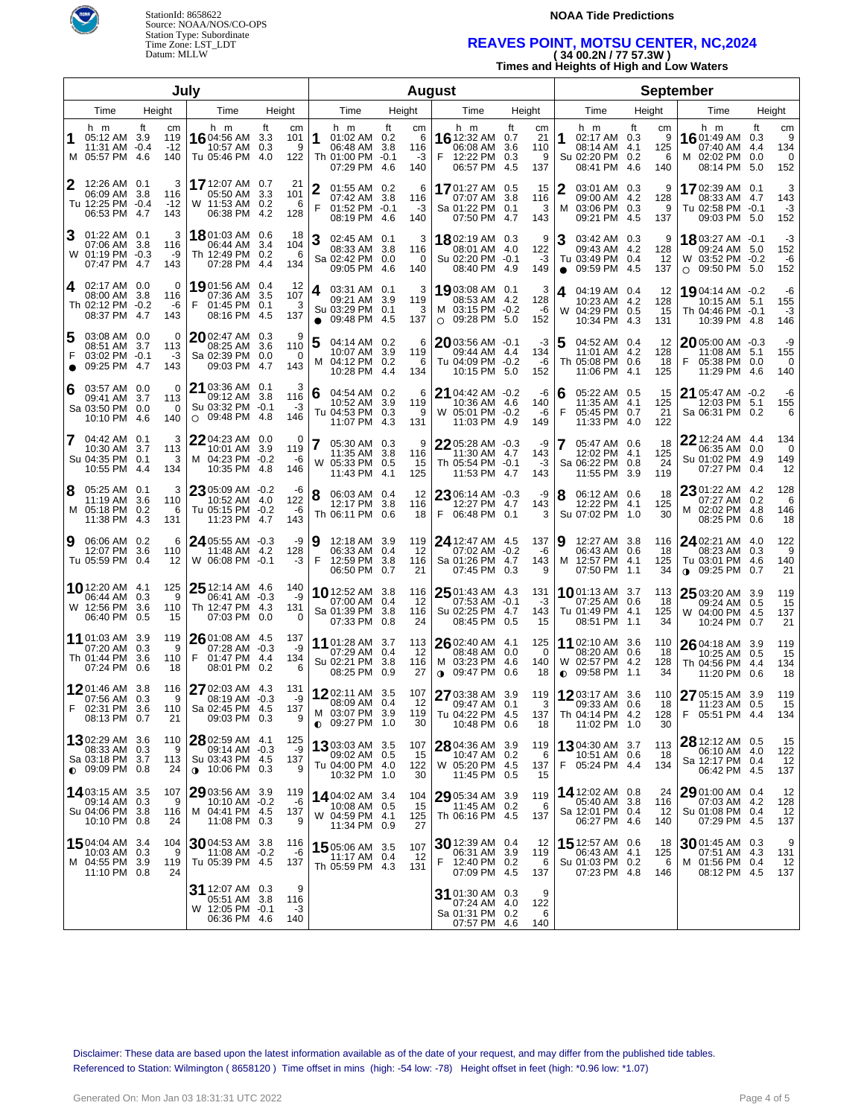



### **NOAA Tide Predictions**

### **REAVES POINT, MOTSU CENTER, NC,2024 ( 34 00.2N / 77 57.3W )**

**Times and Heights of High and Low Waters**

|        |                                                                             |      |                           | July                                                                             |                          |                         | <b>August</b>                                                                            |            |                             |                                                                            |                                                 |                | <b>September</b>                                                            |            |                            |                                                                                |                         |                            |
|--------|-----------------------------------------------------------------------------|------|---------------------------|----------------------------------------------------------------------------------|--------------------------|-------------------------|------------------------------------------------------------------------------------------|------------|-----------------------------|----------------------------------------------------------------------------|-------------------------------------------------|----------------|-----------------------------------------------------------------------------|------------|----------------------------|--------------------------------------------------------------------------------|-------------------------|----------------------------|
|        | Time                                                                        |      | Height                    | Time                                                                             | Height                   |                         | Time                                                                                     |            | Height                      | Time                                                                       | Height                                          |                | Time                                                                        | Height     |                            | Time                                                                           |                         | Height                     |
| 1      | h m<br>05:12 AM 3.9<br>11:31 AM -0.4<br>M 05:57 PM 4.6                      | ft   | cm<br>119<br>$-12$<br>140 | h m<br>16 04:56 AM<br>10:57 AM<br>Tu 05:46 PM 4.0                                | ft<br>3.3<br>0.3         | cm<br>101<br>9<br>122   | h m<br>1<br>01:02 AM 0.2<br>06:48 AM 3.8<br>Th 01:00 PM -0.1<br>07:29 PM                 | ft<br>-4.6 | cm<br>6<br>116<br>-3<br>140 | h m<br>16 12:32 AM 0.7<br>06:08 AM<br>F<br>12:22 PM<br>06:57 PM 4.5        | ft<br>сm<br>21<br>3.6<br>110<br>0.3<br>9<br>137 | 1              | h m<br>02:17 AM 0.3<br>08:14 AM<br>Su 02:20 PM 0.2<br>08:41 PM 4.6          | ft<br>-4.1 | cm<br>9<br>125<br>6<br>140 | h m<br><b>16</b> 01:49 AM 0.3<br>07:40 AM<br>M 02:02 PM<br>08:14 PM            | ft<br>4.4<br>0.0<br>5.0 | cm<br>9<br>134<br>0<br>152 |
| 2      | 12:26 AM 0.1<br>06:09 AM 3.8<br>Tu 12:25 PM -0.4<br>06:53 PM 4.7            |      | 3<br>116<br>$-12$<br>143  | <b>17</b> 12:07 AM<br>05:50 AM<br>W 11:53 AM<br>06:38 PM                         | 0.7<br>3.3<br>0.2<br>4.2 | 21<br>101<br>-6<br>128  | $\overline{2}$<br>01:55 AM 0.2<br>07:42 AM 3.8<br>F<br>$01:52$ PM $-0.1$<br>08:19 PM 4.6 |            | 6<br>116<br>-3<br>140       | 1701:27 AM 0.5<br>07:07 AM<br>Sa 01:22 PM<br>07:50 PM 4.7                  | 15<br>3.8<br>116<br>0.1<br>3<br>143             | м              | 03:01 AM 0.3<br>09:00 AM 4.2<br>03:06 PM 0.3<br>09:21 PM 4.5                |            | 9<br>128<br>9<br>137       | 17 02:39 AM 0.1<br>08:33 AM 4.7<br>Tu 02:58 PM -0.1<br>09:03 PM 5.0            |                         | 3<br>143<br>$-3$<br>152    |
| З      | 01:22 AM 0.1<br>07:06 AM 3.8<br>W 01:19 PM -0.3<br>07:47 PM                 | -4.7 | 3<br>116<br>-9<br>143     | 1801:03 AM<br>06:44 AM<br>Th 12:49 PM<br>07:28 PM                                | 0.6<br>3.4<br>0.2<br>4.4 | 18<br>104<br>-6<br>134  | 3<br>02:45 AM 0.1<br>08:33 AM 3.8<br>Sa 02:42 PM 0.0<br>09:05 PM 4.6                     |            | 3<br>116<br>0<br>140        | 1802:19 AM 0.3<br>08:01 AM 4.0<br>Su 02:20 PM -0.1<br>08:40 PM 4.9         | 9<br>122<br>$-3$<br>149                         | 3<br>$\bullet$ | 03:42 AM 0.3<br>09:43 AM<br>Tu 03:49 PM 0.4<br>09:59 PM 4.5                 | 4.2        | 9<br>128<br>12<br>137      | 18 03:27 AM -0.1<br>09:24 AM 5.0<br>W 03:52 PM -0.2<br>09:50 PM 5.0<br>$\circ$ |                         | -3<br>152<br>-6<br>152     |
| 4      | 02:17 AM 0.0<br>08:00 AM 3.8<br>Th 02:12 PM -0.2<br>08:37 PM                | -4.7 | 0<br>116<br>-6<br>143     | 1901:56 AM<br>07:36 AM<br>F<br>01:45 PM<br>08:16 PM                              | 0.4<br>3.5<br>0.1<br>4.5 | -12<br>107<br>-3<br>137 | 4<br>03:31 AM 0.1<br>09:21 AM 3.9<br>Su 03:29 PM 0.1<br>09:48 PM 4.5<br>$\bullet$        |            | 3<br>119<br>3<br>137        | 19 03:08 AM 0.1<br>08:53 AM 4.2<br>M 03:15 PM -0.2<br>$\circ$ 09:28 PM 5.0 | 3<br>128<br>-6<br>152                           | 4<br>W         | 04:19 AM 0.4<br>10:23 AM 4.2<br>04:29 PM 0.5<br>10:34 PM 4.3                |            | 12<br>128<br>15<br>131     | 19 04:14 AM -0.2<br>10:15 AM 5.1<br>Th 04:46 PM -0.1<br>10:39 PM 4.8           |                         | -6<br>155<br>$-3$<br>146   |
| 5<br>F | 03:08 AM 0.0<br>08:51 AM 3.7<br>03:02 PM -0.1<br>09:25 PM                   | -4.7 | 0<br>113<br>-3<br>143     | $20$ 02:47 AM<br>08:25 AM<br>Sa 02:39 PM<br>09:03 PM                             | 0.3<br>3.6<br>0.0<br>4.7 | 9<br>110<br>0<br>143    | 5<br>04:14 AM 0.2<br>10:07 AM 3.9<br>04:12 PM 0.2<br>м<br>10:28 PM 4.4                   |            | 6<br>119<br>6<br>134        | $2003:56$ AM $-0.1$<br>09:44 AM 4.4<br>Tu 04:09 PM -0.2<br>10:15 PM 5.0    | -3<br>134<br>-6<br>152                          |                | 04:52 AM 0.4<br>11:01 AM 4.2<br>Th 05:08 PM 0.6<br>11:06 PM 4.1             |            | -12<br>128<br>18<br>125    | $2005:00$ AM $-0.3$<br>11:08 AM 5.1<br>F<br>05:38 PM 0.0<br>11:29 PM 4.6       |                         | -9<br>155<br>0<br>140      |
| 6      | 03:57 AM 0.0<br>09:41 AM 3.7<br>Sa 03:50 PM 0.0<br>10:10 PM 4.6             |      | 0<br>113<br>0<br>140      | 21 03:36 AM 0.1<br>09:12 AM<br>Su 03:32 PM<br>$\circ$ 09:48 PM                   | 3.8<br>$-0.1$<br>4.8     | 3<br>116<br>-3<br>146   | 6<br>04:54 AM 0.2<br>10:52 AM 3.9<br>Tu 04:53 PM 0.3<br>11:07 PM 4.3                     |            | 6<br>119<br>9<br>131        | 21 04:42 AM -0.2<br>10:36 AM<br>W 05:01 PM -0.2<br>11:03 PM 4.9            | -6<br>4.6<br>140<br>-6<br>149                   | F              | 05:22 AM 0.5<br>11:35 AM 4.1<br>05:45 PM 0.7<br>11:33 PM 4.0                |            | 15<br>125<br>21<br>122     | $21$ 05:47 AM $-0.2$<br>12:03 PM 5.1<br>Sa 06:31 PM 0.2                        |                         | -6<br>155<br>6             |
| 7      | 04:42 AM 0.1<br>10:30 AM 3.7<br>Su 04:35 PM 0.1<br>10:55 PM 4.4             |      | 3<br>113<br>3<br>134      | 2204:23 AM 0.0<br>10:01 AM<br>M 04:23 PM<br>10:35 PM                             | 3.9<br>$-0.2$<br>-4.8    | 0<br>119<br>-6<br>146   | 05:30 AM 0.3<br>11:35 AM 3.8<br>W 05:33 PM 0.5<br>11:43 PM 4.1                           |            | 9<br>116<br>15<br>125       | $2205:28$ AM $-0.3$<br>11:30 AM 4.7<br>Th 05:54 PM -0.1<br>11:53 PM 4.7    | -9<br>143<br>-3<br>143                          |                | 05:47 AM 0.6<br>12:02 PM 4.1<br>Sa 06:22 PM 0.8<br>11:55 PM 3.9             |            | 18<br>125<br>24<br>119     | 22 12:24 AM 4.4<br>06:35 AM 0.0<br>Su 01:02 PM 4.9<br>07:27 PM 0.4             |                         | 134<br>0<br>149<br>12      |
| 8      | 05:25 AM 0.1<br>11:19 AM 3.6<br>M 05:18 PM 0.2<br>11:38 PM 4.3              |      | 3<br>110<br>6<br>131      | 23 05:09 AM -0.2<br>10:52 AM 4.0<br>Tu 05:15 PM<br>11:23 PM                      | $-0.2$<br>4.7            | -6<br>122<br>-6<br>143  | 8<br>06:03 AM 0.4<br>12:17 PM 3.8<br>Th 06:11 PM 0.6                                     |            | 12<br>116<br>18             | $2306:14$ AM $-0.3$<br>12:27 PM 4.7<br>F<br>06:48 PM 0.1                   | -9<br>143<br>3                                  | 8              | 06:12 AM 0.6<br>12:22 PM 4.1<br>Su 07:02 PM 1.0                             |            | 18<br>125<br>30            | 23 01:22 AM 4.2<br>07:27 AM 0.2<br>M 02:02 PM 4.8<br>08:25 PM 0.6              |                         | 128<br>6<br>146<br>18      |
| 9      | 06:06 AM 0.2<br>12:07 PM<br>Tu 05:59 PM 0.4                                 | 3.6  | 6<br>110<br>12            | 24 05:55 AM -0.3<br>11:48 AM<br>W 06:08 PM -0.1                                  | 4.2                      | -9<br>128<br>-3         | Ι9<br>12:18 AM 3.9<br>06:33 AM 0.4<br>F<br>12:59 PM 3.8<br>06:50 PM 0.7                  |            | 119<br>12<br>116<br>21      | 24 12:47 AM 4.5<br>07:02 AM -0.2<br>Sa 01:26 PM 4.7<br>07:45 PM 0.3        | 137<br>-6<br>143<br>9                           | 9<br>M         | 12:27 AM 3.8<br>06:43 AM 0.6<br>12:57 PM 4.1<br>07:50 PM 1.1                |            | 116<br>18<br>125<br>34     | 24 02:21 AM 4.0<br>08:23 AM 0.3<br>Tu 03:01 PM 4.6<br>$0.09:25 \text{ PM}$     | 0.7                     | 122<br>9<br>140<br>21      |
|        | 10 12:20 AM 4.1<br>06:44 AM 0.3<br>W 12:56 PM 3.6<br>06:40 PM 0.5           |      | 125<br>9<br>110<br>15     | $2512:14$ AM $4.6$<br>06:41 AM -0.3<br>Th 12:47 PM 4.3<br>07:03 PM               | 0.0                      | 140<br>-9<br>131<br>0   | 1012:52 AM 3.8<br>07:00 AM 0.4<br>Sa 01:39 PM 3.8<br>07:33 PM 0.8                        |            | 116<br>12<br>116<br>24      | $2501:43$ AM $4.3$<br>07:53 AM -0.1<br>Su 02:25 PM 4.7<br>08:45 PM 0.5     | 131<br>-3<br>143<br>15                          |                | <b>10</b> 01:13 AM 3.7<br>07:25 AM 0.6<br>Tu 01:49 PM 4.1<br>08:51 PM 1.1   |            | 113<br>18<br>125<br>34     | $25$ 03:20 AM 3.9<br>09:24 AM 0.5<br>W 04:00 PM 4.5<br>10:24 PM 0.7            |                         | 119<br>15<br>137<br>21     |
|        | 11 01:03 AM 3.9<br>07:20 AM 0.3<br>Th 01:44 PM<br>07:24 PM 0.6              | 3.6  | 119<br>9<br>110<br>18     | $2601:08$ AM 4.5<br>07:28 AM -0.3<br>F<br>01:47 PM<br>08:01 PM 0.2               | 4.4                      | 137<br>-9<br>134<br>6   | 11 01:28 AM 3.7<br>07:29 AM 0.4<br>Su 02:21 PM 3.8<br>08:25 PM 0.9                       |            | 113<br>12<br>116<br>27      | 26 02:40 AM 4.1<br>08:48 AM 0.0<br>M 03:23 PM 4.6<br><b>0</b> 09:47 PM 0.6 | 125<br>0<br>140<br>18                           |                | 11 02:10 AM 3.6<br>08:20 AM 0.6<br>W 02:57 PM 4.2<br>$\bullet$ 09:58 PM 1.1 |            | 110<br>18<br>128<br>34     | $2604:18$ AM 3.9<br>10:25 AM<br>Th 04:56 PM 4.4<br>11:20 PM 0.6                | 0.5                     | 119<br>15<br>134<br>18     |
| F      | 1201:46 AM 3.8<br>07:56 AM 0.3<br>02:31 PM 3.6<br>08:13 PM 0.7              |      | 116<br>9<br>110 l<br>21   | 27 02:03 AM 4.3<br>08:19 AM -0.3<br>Sa 02:45 PM 4.5<br>09:03 PM 0.3              |                          | 131<br>-9<br>137<br>9   | 1202:11 AM 3.5<br>08:09 AM 0.4<br>M 03:07 PM 3.9<br>$_{\odot}$ 09:27 PM 1.0              |            | 107<br>12<br>119<br>30      | 27 03:38 AM 3.9<br>09:47 AM 0.1<br>Tu 04:22 PM 4.5<br>10:48 PM 0.6         | 119<br>3<br>137<br>18                           |                | 1203:17 AM 3.6<br>09:33 AM 0.6<br>Th 04:14 PM 4.2<br>11:02 PM 1.0           |            | 110<br>18<br>128<br>30     | 27 05:15 AM 3.9<br>11:23 AM<br>F 05:51 PM                                      | 0.5<br>-4.4             | 119<br>15<br>134           |
|        | 1302:29 AM 3.6<br>08:33 AM 0.3<br>Sa 03:18 PM 3.7<br>$\bullet$ 09:09 PM 0.8 |      | 110<br>9<br>113<br>24     | $2802:59$ AM $4.1$<br>09:14 AM -0.3<br>Su 03:43 PM 4.5<br>$\bullet$ 10:06 PM 0.3 |                          | 125<br>-9<br>137<br>9   | 1303:03 AM 3.5<br>09:02 AM 0.5<br>Tu 04:00 PM 4.0<br>10:32 PM 1.0                        |            | 107<br>15<br>122<br>30      | 28 04:36 AM 3.9<br>10:47 AM 0.2<br>W 05:20 PM 4.5<br>11:45 PM 0.5          | 119<br>6<br>137<br>15                           | F.             | 1304:30 AM 3.7<br>10:51 AM 0.6<br>05:24 PM 4.4                              |            | 113<br>18<br>134           | 28 12:12 AM 0.5<br>06:10 AM 4.0<br>Sa 12:17 PM 0.4<br>06:42 PM 4.5             |                         | 15<br>122<br>12<br>137     |
|        | 14 03:15 AM 3.5<br>09:14 AM 0.3<br>Su 04:06 PM 3.8<br>10:10 PM 0.8          |      | 107<br>9<br>116<br>24     | 29 03:56 AM 3.9<br>10:10 AM<br>M 04:41 PM 4.5<br>11:08 PM 0.3                    | $-0.2$                   | 119<br>-6<br>137<br>9   | 1404:02 AM 3.4<br>10:08 AM 0.5<br>W 04:59 PM 4.1<br>11:34 PM 0.9                         |            | 104<br>15<br>125<br>27      | 29 05:34 AM 3.9<br>11:45 AM 0.2<br>Th 06:16 PM 4.5                         | 119<br>6<br>137                                 |                | 14 12:02 AM 0.8<br>05:40 AM 3.8<br>Sa 12:01 PM 0.4<br>06:27 PM 4.6          |            | 24<br>116<br>12<br>140     | 29 01:00 AM 0.4<br>07:03 AM 4.2<br>Su 01:08 PM 0.4<br>07:29 PM 4.5             |                         | 12<br>128<br>12<br>137     |
|        | 1504:04 AM 3.4<br>10:03 AM 0.3<br>M 04:55 PM 3.9<br>11:10 PM 0.8            |      | 104<br>9<br>119<br>24     | 3004:53 AM 3.8<br>11:08 AM -0.2<br>Tu 05:39 PM 4.5                               |                          | 116<br>-6<br>137        | 15 05:06 AM 3.5<br>11:17 AM 0.4<br>Th 05:59 PM 4.3                                       |            | 107<br>12<br>131            | 30 12:39 AM 0.4<br>06:31 AM 3.9<br>12:40 PM 0.2<br>07:09 PM 4.5            | 12<br>119<br>6<br>137                           |                | 15 12:57 AM 0.6<br>06:43 AM 4.1<br>Su 01:03 PM 0.2<br>07:23 PM 4.8          |            | 18<br>125<br>6<br>146      | 3001:45 AM 0.3<br>07:51 AM 4.3<br>M 01:56 PM 0.4<br>08:12 PM 4.5               |                         | 9<br>131<br>12<br>137      |
|        |                                                                             |      |                           | 31 12:07 AM 0.3<br>05:51 AM<br>W 12:05 PM -0.1<br>06:36 PM 4.6                   | 3.8                      | 9<br>116<br>-3<br>140   |                                                                                          |            |                             | 31 01:30 AM 0.3<br>07:24 AM 4.0<br>Sa 01:31 PM 0.2<br>07:57 PM 4.6         | 9<br>122<br>6<br>140                            |                |                                                                             |            |                            |                                                                                |                         |                            |